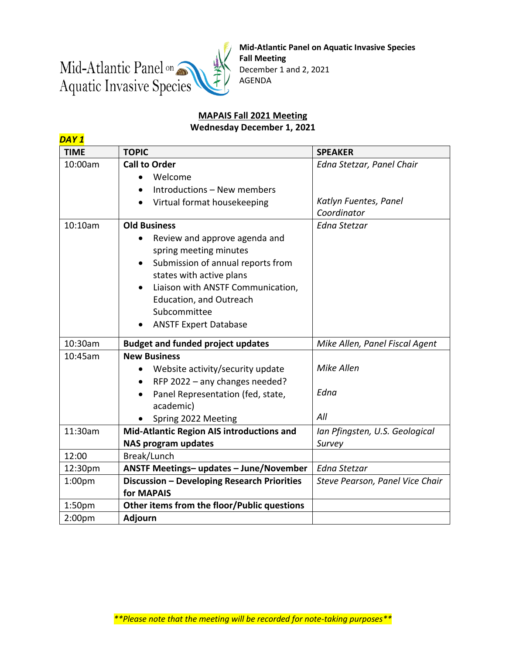

**Mid-Atlantic Panel on Aquatic Invasive Species Fall Meeting** December 1 and 2, 2021 AGENDA

## **MAPAIS Fall 2021 Meeting Wednesday December 1, 2021**

| DAY <sub>1</sub>   |                                                                                                                                                                                                                                                                                                               |                                                                   |  |
|--------------------|---------------------------------------------------------------------------------------------------------------------------------------------------------------------------------------------------------------------------------------------------------------------------------------------------------------|-------------------------------------------------------------------|--|
| <b>TIME</b>        | <b>TOPIC</b>                                                                                                                                                                                                                                                                                                  | <b>SPEAKER</b>                                                    |  |
| 10:00am            | <b>Call to Order</b><br>Welcome<br>$\bullet$<br>Introductions - New members<br>Virtual format housekeeping                                                                                                                                                                                                    | Edna Stetzar, Panel Chair<br>Katlyn Fuentes, Panel<br>Coordinator |  |
| 10:10am            | <b>Old Business</b><br>Review and approve agenda and<br>spring meeting minutes<br>Submission of annual reports from<br>$\bullet$<br>states with active plans<br>Liaison with ANSTF Communication,<br>$\bullet$<br><b>Education, and Outreach</b><br>Subcommittee<br><b>ANSTF Expert Database</b><br>$\bullet$ | <b>Edna Stetzar</b>                                               |  |
| 10:30am            | <b>Budget and funded project updates</b>                                                                                                                                                                                                                                                                      | Mike Allen, Panel Fiscal Agent                                    |  |
| 10:45am            | <b>New Business</b><br>Website activity/security update<br>$\bullet$<br>RFP 2022 - any changes needed?<br>$\bullet$<br>Panel Representation (fed, state,<br>$\bullet$<br>academic)<br>Spring 2022 Meeting                                                                                                     | Mike Allen<br>Edna<br>All                                         |  |
| 11:30am            | Mid-Atlantic Region AIS introductions and<br><b>NAS program updates</b>                                                                                                                                                                                                                                       | Ian Pfingsten, U.S. Geological<br>Survey                          |  |
| 12:00              | Break/Lunch                                                                                                                                                                                                                                                                                                   |                                                                   |  |
| 12:30pm            | ANSTF Meetings-updates - June/November                                                                                                                                                                                                                                                                        | Edna Stetzar                                                      |  |
| 1:00 <sub>pm</sub> | Discussion - Developing Research Priorities<br>for MAPAIS                                                                                                                                                                                                                                                     | Steve Pearson, Panel Vice Chair                                   |  |
| 1:50 <sub>pm</sub> | Other items from the floor/Public questions                                                                                                                                                                                                                                                                   |                                                                   |  |
| 2:00 <sub>pm</sub> | Adjourn                                                                                                                                                                                                                                                                                                       |                                                                   |  |